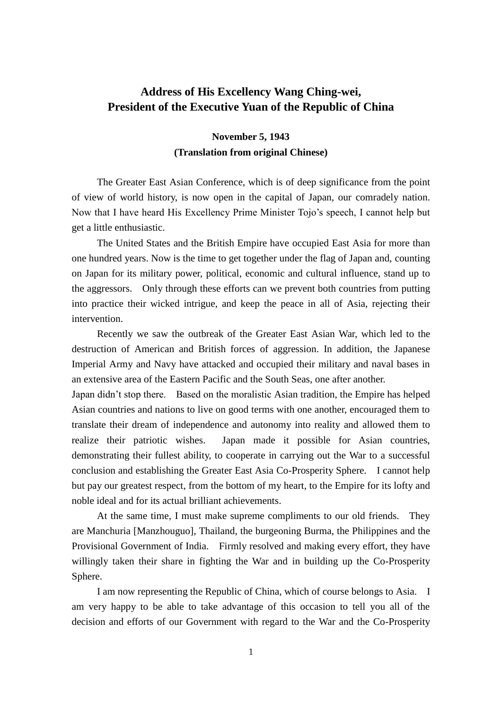## **Address of His Excellency Wang Ching-wei, President of the Executive Yuan of the Republic of China**

## **November 5, 1943 (Translation from original Chinese)**

The Greater East Asian Conference, which is of deep significance from the point of view of world history, is now open in the capital of Japan, our comradely nation. Now that I have heard His Excellency Prime Minister Tojo's speech, I cannot help but get a little enthusiastic.

The United States and the British Empire have occupied East Asia for more than one hundred years. Now is the time to get together under the flag of Japan and, counting on Japan for its military power, political, economic and cultural influence, stand up to the aggressors. Only through these efforts can we prevent both countries from putting into practice their wicked intrigue, and keep the peace in all of Asia, rejecting their intervention.

Recently we saw the outbreak of the Greater East Asian War, which led to the destruction of American and British forces of aggression. In addition, the Japanese Imperial Army and Navy have attacked and occupied their military and naval bases in an extensive area of the Eastern Pacific and the South Seas, one after another.

Japan didn't stop there. Based on the moralistic Asian tradition, the Empire has helped Asian countries and nations to live on good terms with one another, encouraged them to translate their dream of independence and autonomy into reality and allowed them to realize their patriotic wishes. Japan made it possible for Asian countries, demonstrating their fullest ability, to cooperate in carrying out the War to a successful conclusion and establishing the Greater East Asia Co-Prosperity Sphere. I cannot help but pay our greatest respect, from the bottom of my heart, to the Empire for its lofty and noble ideal and for its actual brilliant achievements.

At the same time, I must make supreme compliments to our old friends. They are Manchuria [Manzhouguo], Thailand, the burgeoning Burma, the Philippines and the Provisional Government of India. Firmly resolved and making every effort, they have willingly taken their share in fighting the War and in building up the Co-Prosperity Sphere.

I am now representing the Republic of China, which of course belongs to Asia. I am very happy to be able to take advantage of this occasion to tell you all of the decision and efforts of our Government with regard to the War and the Co-Prosperity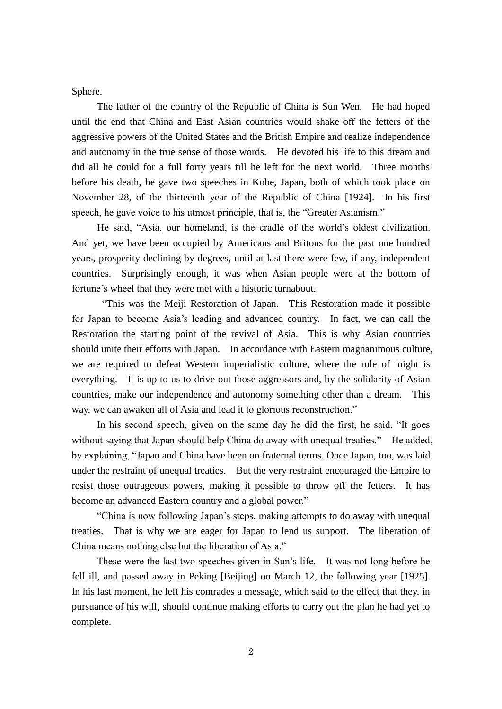Sphere.

The father of the country of the Republic of China is Sun Wen. He had hoped until the end that China and East Asian countries would shake off the fetters of the aggressive powers of the United States and the British Empire and realize independence and autonomy in the true sense of those words. He devoted his life to this dream and did all he could for a full forty years till he left for the next world. Three months before his death, he gave two speeches in Kobe, Japan, both of which took place on November 28, of the thirteenth year of the Republic of China [1924]. In his first speech, he gave voice to his utmost principle, that is, the "Greater Asianism."

He said, "Asia, our homeland, is the cradle of the world's oldest civilization. And yet, we have been occupied by Americans and Britons for the past one hundred years, prosperity declining by degrees, until at last there were few, if any, independent countries. Surprisingly enough, it was when Asian people were at the bottom of fortune's wheel that they were met with a historic turnabout.

"This was the Meiji Restoration of Japan. This Restoration made it possible for Japan to become Asia's leading and advanced country. In fact, we can call the Restoration the starting point of the revival of Asia. This is why Asian countries should unite their efforts with Japan. In accordance with Eastern magnanimous culture, we are required to defeat Western imperialistic culture, where the rule of might is everything. It is up to us to drive out those aggressors and, by the solidarity of Asian countries, make our independence and autonomy something other than a dream. This way, we can awaken all of Asia and lead it to glorious reconstruction."

In his second speech, given on the same day he did the first, he said, "It goes without saying that Japan should help China do away with unequal treaties." He added, by explaining, "Japan and China have been on fraternal terms. Once Japan, too, was laid under the restraint of unequal treaties. But the very restraint encouraged the Empire to resist those outrageous powers, making it possible to throw off the fetters. It has become an advanced Eastern country and a global power."

"China is now following Japan's steps, making attempts to do away with unequal treaties. That is why we are eager for Japan to lend us support. The liberation of China means nothing else but the liberation of Asia."

These were the last two speeches given in Sun's life. It was not long before he fell ill, and passed away in Peking [Beijing] on March 12, the following year [1925]. In his last moment, he left his comrades a message, which said to the effect that they, in pursuance of his will, should continue making efforts to carry out the plan he had yet to complete.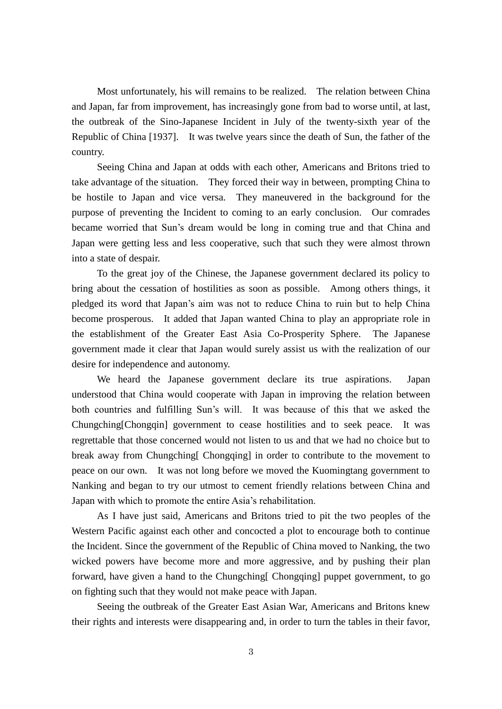Most unfortunately, his will remains to be realized. The relation between China and Japan, far from improvement, has increasingly gone from bad to worse until, at last, the outbreak of the Sino-Japanese Incident in July of the twenty-sixth year of the Republic of China [1937]. It was twelve years since the death of Sun, the father of the country.

Seeing China and Japan at odds with each other, Americans and Britons tried to take advantage of the situation. They forced their way in between, prompting China to be hostile to Japan and vice versa. They maneuvered in the background for the purpose of preventing the Incident to coming to an early conclusion. Our comrades became worried that Sun's dream would be long in coming true and that China and Japan were getting less and less cooperative, such that such they were almost thrown into a state of despair.

To the great joy of the Chinese, the Japanese government declared its policy to bring about the cessation of hostilities as soon as possible. Among others things, it pledged its word that Japan's aim was not to reduce China to ruin but to help China become prosperous. It added that Japan wanted China to play an appropriate role in the establishment of the Greater East Asia Co-Prosperity Sphere. The Japanese government made it clear that Japan would surely assist us with the realization of our desire for independence and autonomy.

We heard the Japanese government declare its true aspirations. Japan understood that China would cooperate with Japan in improving the relation between both countries and fulfilling Sun's will. It was because of this that we asked the Chungching[Chongqin] government to cease hostilities and to seek peace. It was regrettable that those concerned would not listen to us and that we had no choice but to break away from Chungching [Chongqing] in order to contribute to the movement to peace on our own. It was not long before we moved the Kuomingtang government to Nanking and began to try our utmost to cement friendly relations between China and Japan with which to promote the entire Asia's rehabilitation.

As I have just said, Americans and Britons tried to pit the two peoples of the Western Pacific against each other and concocted a plot to encourage both to continue the Incident. Since the government of the Republic of China moved to Nanking, the two wicked powers have become more and more aggressive, and by pushing their plan forward, have given a hand to the Chungching[ Chongqing] puppet government, to go on fighting such that they would not make peace with Japan.

Seeing the outbreak of the Greater East Asian War, Americans and Britons knew their rights and interests were disappearing and, in order to turn the tables in their favor,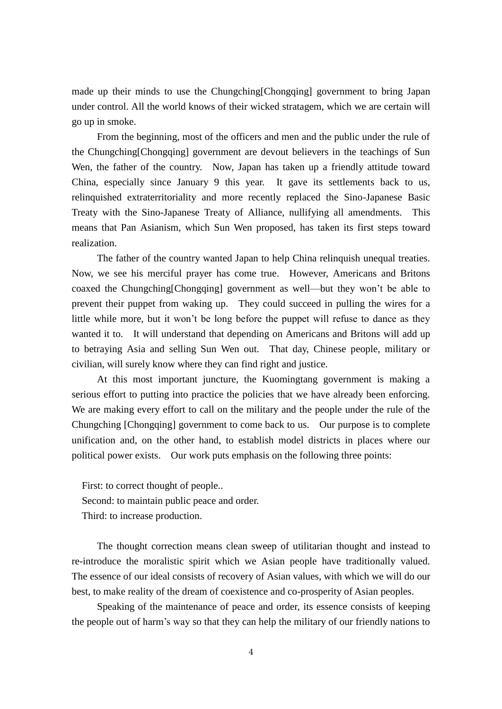made up their minds to use the Chungching[Chongqing] government to bring Japan under control. All the world knows of their wicked stratagem, which we are certain will go up in smoke.

From the beginning, most of the officers and men and the public under the rule of the Chungching[Chongqing] government are devout believers in the teachings of Sun Wen, the father of the country. Now, Japan has taken up a friendly attitude toward China, especially since January 9 this year. It gave its settlements back to us, relinquished extraterritoriality and more recently replaced the Sino-Japanese Basic Treaty with the Sino-Japanese Treaty of Alliance, nullifying all amendments. This means that Pan Asianism, which Sun Wen proposed, has taken its first steps toward realization.

The father of the country wanted Japan to help China relinquish unequal treaties. Now, we see his merciful prayer has come true. However, Americans and Britons coaxed the Chungching[Chongqing] government as well—but they won't be able to prevent their puppet from waking up. They could succeed in pulling the wires for a little while more, but it won't be long before the puppet will refuse to dance as they wanted it to. It will understand that depending on Americans and Britons will add up to betraying Asia and selling Sun Wen out. That day, Chinese people, military or civilian, will surely know where they can find right and justice.

At this most important juncture, the Kuomingtang government is making a serious effort to putting into practice the policies that we have already been enforcing. We are making every effort to call on the military and the people under the rule of the Chungching [Chongqing] government to come back to us. Our purpose is to complete unification and, on the other hand, to establish model districts in places where our political power exists. Our work puts emphasis on the following three points:

First: to correct thought of people.. Second: to maintain public peace and order. Third: to increase production.

The thought correction means clean sweep of utilitarian thought and instead to re-introduce the moralistic spirit which we Asian people have traditionally valued. The essence of our ideal consists of recovery of Asian values, with which we will do our best, to make reality of the dream of coexistence and co-prosperity of Asian peoples.

Speaking of the maintenance of peace and order, its essence consists of keeping the people out of harm's way so that they can help the military of our friendly nations to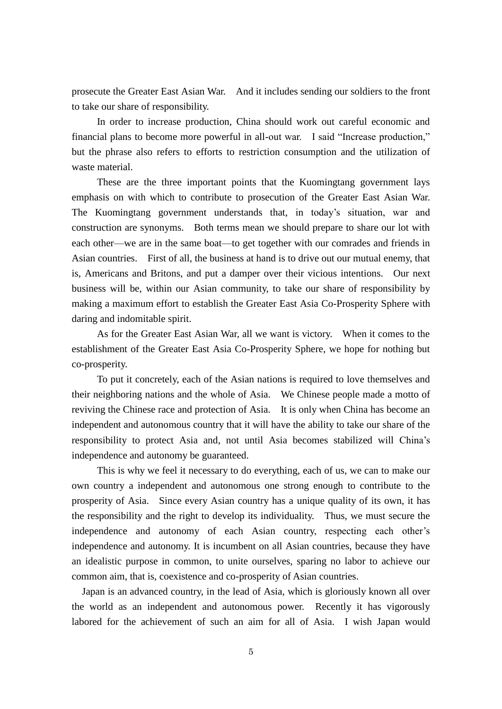prosecute the Greater East Asian War. And it includes sending our soldiers to the front to take our share of responsibility.

In order to increase production, China should work out careful economic and financial plans to become more powerful in all-out war. I said "Increase production," but the phrase also refers to efforts to restriction consumption and the utilization of waste material.

These are the three important points that the Kuomingtang government lays emphasis on with which to contribute to prosecution of the Greater East Asian War. The Kuomingtang government understands that, in today's situation, war and construction are synonyms. Both terms mean we should prepare to share our lot with each other—we are in the same boat—to get together with our comrades and friends in Asian countries. First of all, the business at hand is to drive out our mutual enemy, that is, Americans and Britons, and put a damper over their vicious intentions. Our next business will be, within our Asian community, to take our share of responsibility by making a maximum effort to establish the Greater East Asia Co-Prosperity Sphere with daring and indomitable spirit.

As for the Greater East Asian War, all we want is victory. When it comes to the establishment of the Greater East Asia Co-Prosperity Sphere, we hope for nothing but co-prosperity.

To put it concretely, each of the Asian nations is required to love themselves and their neighboring nations and the whole of Asia. We Chinese people made a motto of reviving the Chinese race and protection of Asia. It is only when China has become an independent and autonomous country that it will have the ability to take our share of the responsibility to protect Asia and, not until Asia becomes stabilized will China's independence and autonomy be guaranteed.

This is why we feel it necessary to do everything, each of us, we can to make our own country a independent and autonomous one strong enough to contribute to the prosperity of Asia. Since every Asian country has a unique quality of its own, it has the responsibility and the right to develop its individuality. Thus, we must secure the independence and autonomy of each Asian country, respecting each other's independence and autonomy. It is incumbent on all Asian countries, because they have an idealistic purpose in common, to unite ourselves, sparing no labor to achieve our common aim, that is, coexistence and co-prosperity of Asian countries.

Japan is an advanced country, in the lead of Asia, which is gloriously known all over the world as an independent and autonomous power. Recently it has vigorously labored for the achievement of such an aim for all of Asia. I wish Japan would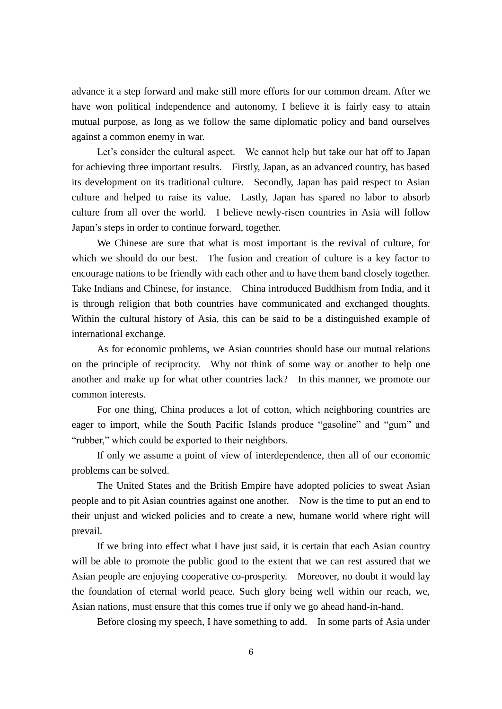advance it a step forward and make still more efforts for our common dream. After we have won political independence and autonomy, I believe it is fairly easy to attain mutual purpose, as long as we follow the same diplomatic policy and band ourselves against a common enemy in war.

Let's consider the cultural aspect. We cannot help but take our hat off to Japan for achieving three important results. Firstly, Japan, as an advanced country, has based its development on its traditional culture. Secondly, Japan has paid respect to Asian culture and helped to raise its value. Lastly, Japan has spared no labor to absorb culture from all over the world. I believe newly-risen countries in Asia will follow Japan's steps in order to continue forward, together.

We Chinese are sure that what is most important is the revival of culture, for which we should do our best. The fusion and creation of culture is a key factor to encourage nations to be friendly with each other and to have them band closely together. Take Indians and Chinese, for instance. China introduced Buddhism from India, and it is through religion that both countries have communicated and exchanged thoughts. Within the cultural history of Asia, this can be said to be a distinguished example of international exchange.

As for economic problems, we Asian countries should base our mutual relations on the principle of reciprocity. Why not think of some way or another to help one another and make up for what other countries lack? In this manner, we promote our common interests.

For one thing, China produces a lot of cotton, which neighboring countries are eager to import, while the South Pacific Islands produce "gasoline" and "gum" and "rubber," which could be exported to their neighbors.

If only we assume a point of view of interdependence, then all of our economic problems can be solved.

The United States and the British Empire have adopted policies to sweat Asian people and to pit Asian countries against one another. Now is the time to put an end to their unjust and wicked policies and to create a new, humane world where right will prevail.

If we bring into effect what I have just said, it is certain that each Asian country will be able to promote the public good to the extent that we can rest assured that we Asian people are enjoying cooperative co-prosperity. Moreover, no doubt it would lay the foundation of eternal world peace. Such glory being well within our reach, we, Asian nations, must ensure that this comes true if only we go ahead hand-in-hand.

Before closing my speech, I have something to add. In some parts of Asia under